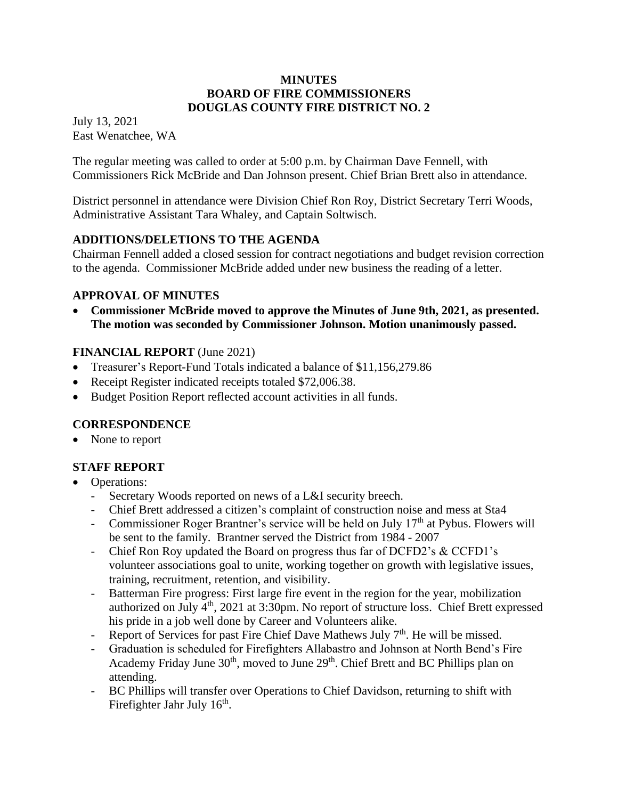#### **MINUTES BOARD OF FIRE COMMISSIONERS DOUGLAS COUNTY FIRE DISTRICT NO. 2**

July 13, 2021 East Wenatchee, WA

The regular meeting was called to order at 5:00 p.m. by Chairman Dave Fennell, with Commissioners Rick McBride and Dan Johnson present. Chief Brian Brett also in attendance.

District personnel in attendance were Division Chief Ron Roy, District Secretary Terri Woods, Administrative Assistant Tara Whaley, and Captain Soltwisch.

# **ADDITIONS/DELETIONS TO THE AGENDA**

Chairman Fennell added a closed session for contract negotiations and budget revision correction to the agenda. Commissioner McBride added under new business the reading of a letter.

# **APPROVAL OF MINUTES**

• **Commissioner McBride moved to approve the Minutes of June 9th, 2021, as presented. The motion was seconded by Commissioner Johnson. Motion unanimously passed.**

# **FINANCIAL REPORT** (June 2021)

- Treasurer's Report-Fund Totals indicated a balance of \$11,156,279.86
- Receipt Register indicated receipts totaled \$72,006.38.
- Budget Position Report reflected account activities in all funds.

# **CORRESPONDENCE**

None to report

# **STAFF REPORT**

- Operations:
	- Secretary Woods reported on news of a L&I security breech.
	- Chief Brett addressed a citizen's complaint of construction noise and mess at Sta4
	- Commissioner Roger Brantner's service will be held on July  $17<sup>th</sup>$  at Pybus. Flowers will be sent to the family. Brantner served the District from 1984 - 2007
	- Chief Ron Roy updated the Board on progress thus far of DCFD2's & CCFD1's volunteer associations goal to unite, working together on growth with legislative issues, training, recruitment, retention, and visibility.
	- Batterman Fire progress: First large fire event in the region for the year, mobilization authorized on July 4th, 2021 at 3:30pm. No report of structure loss. Chief Brett expressed his pride in a job well done by Career and Volunteers alike.
	- Report of Services for past Fire Chief Dave Mathews July  $7<sup>th</sup>$ . He will be missed.
	- Graduation is scheduled for Firefighters Allabastro and Johnson at North Bend's Fire Academy Friday June 30<sup>th</sup>, moved to June 29<sup>th</sup>. Chief Brett and BC Phillips plan on attending.
	- BC Phillips will transfer over Operations to Chief Davidson, returning to shift with Firefighter Jahr July 16<sup>th</sup>.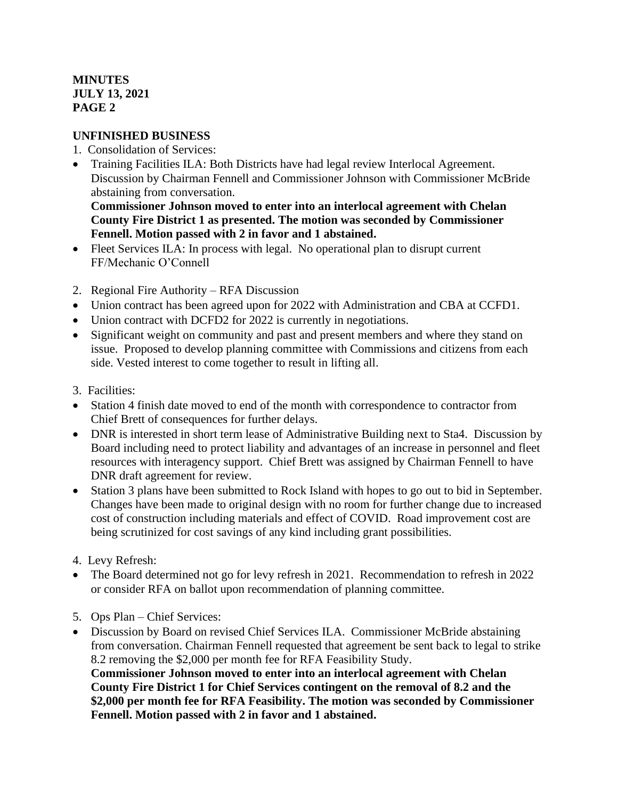# **MINUTES JULY 13, 2021 PAGE 2**

### **UNFINISHED BUSINESS**

- 1. Consolidation of Services:
- Training Facilities ILA: Both Districts have had legal review Interlocal Agreement. Discussion by Chairman Fennell and Commissioner Johnson with Commissioner McBride abstaining from conversation.

**Commissioner Johnson moved to enter into an interlocal agreement with Chelan County Fire District 1 as presented. The motion was seconded by Commissioner Fennell. Motion passed with 2 in favor and 1 abstained.**

- Fleet Services ILA: In process with legal. No operational plan to disrupt current FF/Mechanic O'Connell
- 2. Regional Fire Authority RFA Discussion
- Union contract has been agreed upon for 2022 with Administration and CBA at CCFD1.
- Union contract with DCFD2 for 2022 is currently in negotiations.
- Significant weight on community and past and present members and where they stand on issue. Proposed to develop planning committee with Commissions and citizens from each side. Vested interest to come together to result in lifting all.
- 3. Facilities:
- Station 4 finish date moved to end of the month with correspondence to contractor from Chief Brett of consequences for further delays.
- DNR is interested in short term lease of Administrative Building next to Sta4. Discussion by Board including need to protect liability and advantages of an increase in personnel and fleet resources with interagency support. Chief Brett was assigned by Chairman Fennell to have DNR draft agreement for review.
- Station 3 plans have been submitted to Rock Island with hopes to go out to bid in September. Changes have been made to original design with no room for further change due to increased cost of construction including materials and effect of COVID. Road improvement cost are being scrutinized for cost savings of any kind including grant possibilities.
- 4. Levy Refresh:
- The Board determined not go for levy refresh in 2021. Recommendation to refresh in 2022 or consider RFA on ballot upon recommendation of planning committee.
- 5. Ops Plan Chief Services:
- Discussion by Board on revised Chief Services ILA. Commissioner McBride abstaining from conversation. Chairman Fennell requested that agreement be sent back to legal to strike 8.2 removing the \$2,000 per month fee for RFA Feasibility Study.

**Commissioner Johnson moved to enter into an interlocal agreement with Chelan County Fire District 1 for Chief Services contingent on the removal of 8.2 and the \$2,000 per month fee for RFA Feasibility. The motion was seconded by Commissioner Fennell. Motion passed with 2 in favor and 1 abstained.**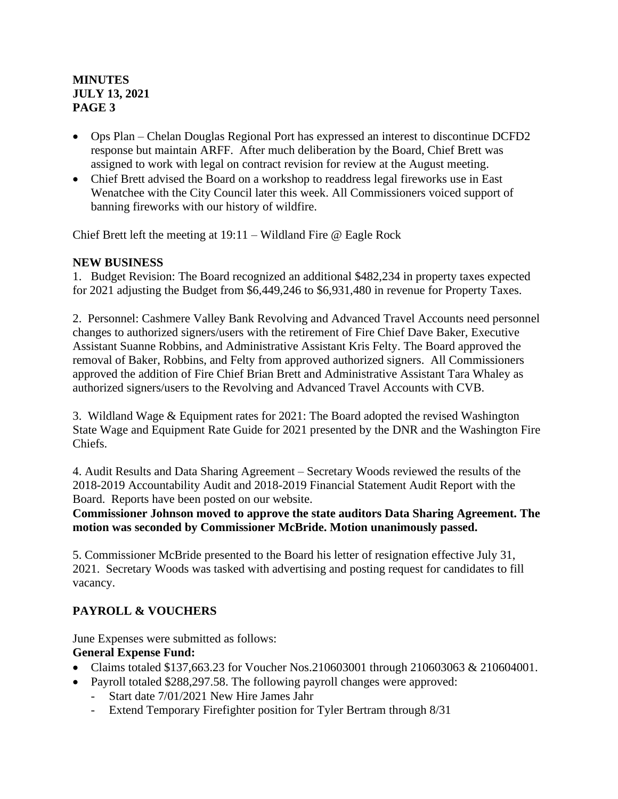### **MINUTES JULY 13, 2021 PAGE 3**

- Ops Plan Chelan Douglas Regional Port has expressed an interest to discontinue DCFD2 response but maintain ARFF. After much deliberation by the Board, Chief Brett was assigned to work with legal on contract revision for review at the August meeting.
- Chief Brett advised the Board on a workshop to readdress legal fireworks use in East Wenatchee with the City Council later this week. All Commissioners voiced support of banning fireworks with our history of wildfire.

Chief Brett left the meeting at 19:11 – Wildland Fire @ Eagle Rock

### **NEW BUSINESS**

1. Budget Revision: The Board recognized an additional \$482,234 in property taxes expected for 2021 adjusting the Budget from \$6,449,246 to \$6,931,480 in revenue for Property Taxes.

2. Personnel: Cashmere Valley Bank Revolving and Advanced Travel Accounts need personnel changes to authorized signers/users with the retirement of Fire Chief Dave Baker, Executive Assistant Suanne Robbins, and Administrative Assistant Kris Felty. The Board approved the removal of Baker, Robbins, and Felty from approved authorized signers. All Commissioners approved the addition of Fire Chief Brian Brett and Administrative Assistant Tara Whaley as authorized signers/users to the Revolving and Advanced Travel Accounts with CVB.

3. Wildland Wage & Equipment rates for 2021: The Board adopted the revised Washington State Wage and Equipment Rate Guide for 2021 presented by the DNR and the Washington Fire Chiefs.

4. Audit Results and Data Sharing Agreement – Secretary Woods reviewed the results of the 2018-2019 Accountability Audit and 2018-2019 Financial Statement Audit Report with the Board. Reports have been posted on our website.

**Commissioner Johnson moved to approve the state auditors Data Sharing Agreement. The motion was seconded by Commissioner McBride. Motion unanimously passed.**

5. Commissioner McBride presented to the Board his letter of resignation effective July 31, 2021. Secretary Woods was tasked with advertising and posting request for candidates to fill vacancy.

# **PAYROLL & VOUCHERS**

June Expenses were submitted as follows:

### **General Expense Fund:**

- Claims totaled \$137,663.23 for Voucher Nos.210603001 through 210603063 & 210604001.
- Payroll totaled \$288,297.58. The following payroll changes were approved:
	- Start date 7/01/2021 New Hire James Jahr
	- Extend Temporary Firefighter position for Tyler Bertram through 8/31